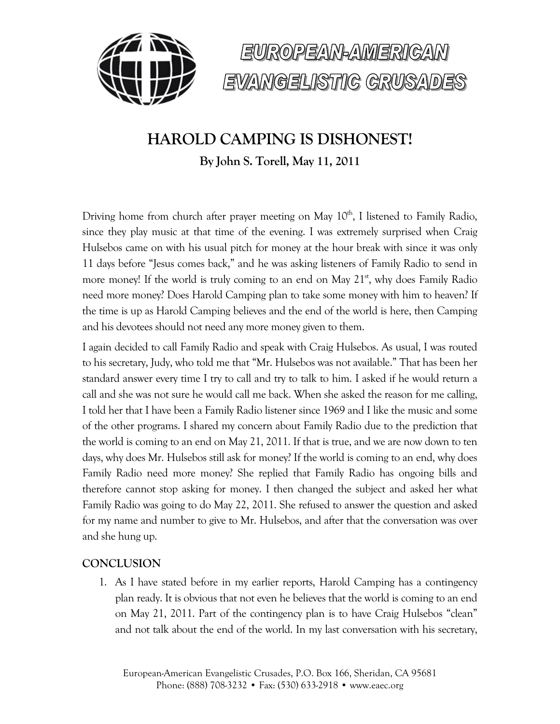



# **HAROLD CAMPING IS DISHONEST!**

**By John S. Torell, May 11, 2011**

Driving home from church after prayer meeting on May  $10<sup>th</sup>$ , I listened to Family Radio, since they play music at that time of the evening. I was extremely surprised when Craig Hulsebos came on with his usual pitch for money at the hour break with since it was only 11 days before "Jesus comes back," and he was asking listeners of Family Radio to send in more money! If the world is truly coming to an end on May  $21<sup>st</sup>$ , why does Family Radio need more money? Does Harold Camping plan to take some money with him to heaven? If the time is up as Harold Camping believes and the end of the world is here, then Camping and his devotees should not need any more money given to them.

I again decided to call Family Radio and speak with Craig Hulsebos. As usual, I was routed to his secretary, Judy, who told me that "Mr. Hulsebos was not available." That has been her standard answer every time I try to call and try to talk to him. I asked if he would return a call and she was not sure he would call me back. When she asked the reason for me calling, I told her that I have been a Family Radio listener since 1969 and I like the music and some of the other programs. I shared my concern about Family Radio due to the prediction that the world is coming to an end on May 21, 2011. If that is true, and we are now down to ten days, why does Mr. Hulsebos still ask for money? If the world is coming to an end, why does Family Radio need more money? She replied that Family Radio has ongoing bills and therefore cannot stop asking for money. I then changed the subject and asked her what Family Radio was going to do May 22, 2011. She refused to answer the question and asked for my name and number to give to Mr. Hulsebos, and after that the conversation was over and she hung up.

## **CONCLUSION**

1. As I have stated before in my earlier reports, Harold Camping has a contingency plan ready. It is obvious that not even he believes that the world is coming to an end on May 21, 2011. Part of the contingency plan is to have Craig Hulsebos "clean" and not talk about the end of the world. In my last conversation with his secretary,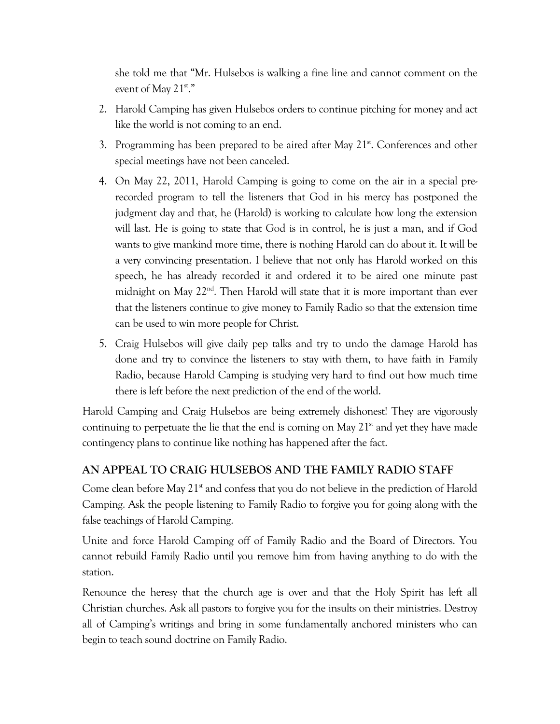she told me that "Mr. Hulsebos is walking a fine line and cannot comment on the event of May 21st."

- 2. Harold Camping has given Hulsebos orders to continue pitching for money and act like the world is not coming to an end.
- 3. Programming has been prepared to be aired after May  $21<sup>st</sup>$ . Conferences and other special meetings have not been canceled.
- 4. On May 22, 2011, Harold Camping is going to come on the air in a special prerecorded program to tell the listeners that God in his mercy has postponed the judgment day and that, he (Harold) is working to calculate how long the extension will last. He is going to state that God is in control, he is just a man, and if God wants to give mankind more time, there is nothing Harold can do about it. It will be a very convincing presentation. I believe that not only has Harold worked on this speech, he has already recorded it and ordered it to be aired one minute past midnight on May 22<sup>nd</sup>. Then Harold will state that it is more important than ever that the listeners continue to give money to Family Radio so that the extension time can be used to win more people for Christ.
- 5. Craig Hulsebos will give daily pep talks and try to undo the damage Harold has done and try to convince the listeners to stay with them, to have faith in Family Radio, because Harold Camping is studying very hard to find out how much time there is left before the next prediction of the end of the world.

Harold Camping and Craig Hulsebos are being extremely dishonest! They are vigorously continuing to perpetuate the lie that the end is coming on May  $21<sup>st</sup>$  and yet they have made contingency plans to continue like nothing has happened after the fact.

## **AN APPEAL TO CRAIG HULSEBOS AND THE FAMILY RADIO STAFF**

Come clean before May  $21<sup>st</sup>$  and confess that you do not believe in the prediction of Harold Camping. Ask the people listening to Family Radio to forgive you for going along with the false teachings of Harold Camping.

Unite and force Harold Camping off of Family Radio and the Board of Directors. You cannot rebuild Family Radio until you remove him from having anything to do with the station.

Renounce the heresy that the church age is over and that the Holy Spirit has left all Christian churches. Ask all pastors to forgive you for the insults on their ministries. Destroy all of Camping's writings and bring in some fundamentally anchored ministers who can begin to teach sound doctrine on Family Radio.